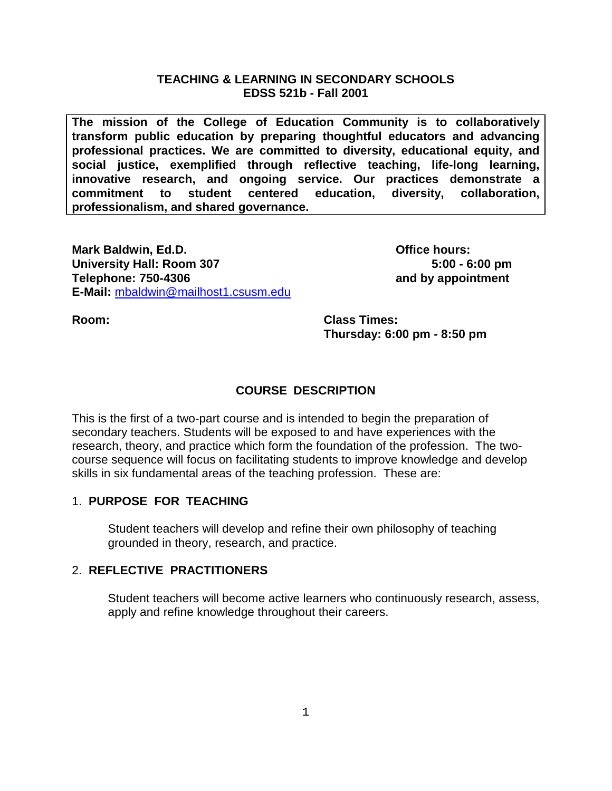#### **TEACHING & LEARNING IN SECONDARY SCHOOLS EDSS 521b - Fall 2001**

**The mission of the College of Education Community is to collaboratively transform public education by preparing thoughtful educators and advancing professional practices. We are committed to diversity, educational equity, and social justice, exemplified through reflective teaching, life-long learning, innovative research, and ongoing service. Our practices demonstrate a commitment to student centered education, diversity, collaboration, professionalism, and shared governance.**

**Mark Baldwin, Ed.D. Community Construction Construction Construction Construction Construction Construction Construction Construction Construction Construction Construction Construction Construction Construction Constru University Hall: Room 307 5:00 - 6:00 pm Telephone: 750-4306 and by appointment E-Mail:** [mbaldwin@mailhost1.csusm.edu](mailto:mbaldwin@mailhost1.csusm.edu)

**Room: Class Times: Thursday: 6:00 pm - 8:50 pm** 

# **COURSE DESCRIPTION**

This is the first of a two-part course and is intended to begin the preparation of secondary teachers. Students will be exposed to and have experiences with the research, theory, and practice which form the foundation of the profession. The twocourse sequence will focus on facilitating students to improve knowledge and develop skills in six fundamental areas of the teaching profession. These are:

## 1. **PURPOSE FOR TEACHING**

Student teachers will develop and refine their own philosophy of teaching grounded in theory, research, and practice.

## 2. **REFLECTIVE PRACTITIONERS**

Student teachers will become active learners who continuously research, assess, apply and refine knowledge throughout their careers.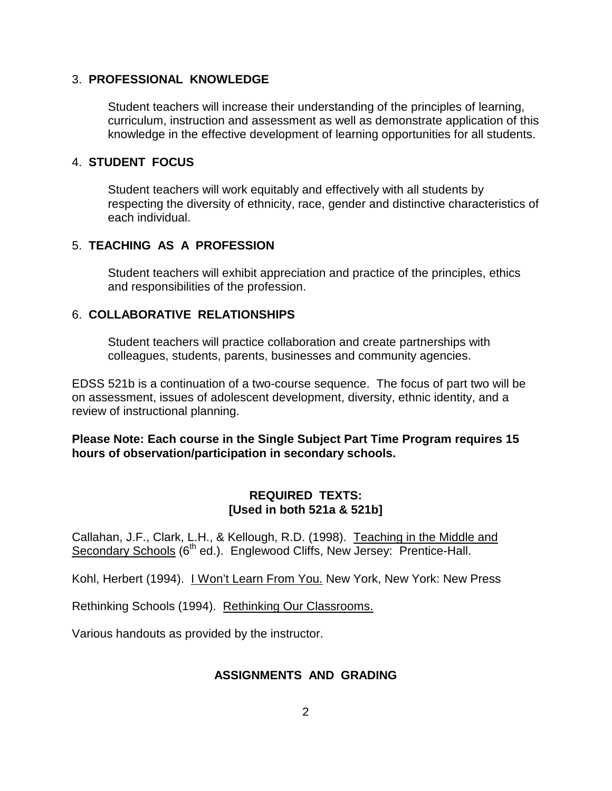## 3. **PROFESSIONAL KNOWLEDGE**

Student teachers will increase their understanding of the principles of learning, curriculum, instruction and assessment as well as demonstrate application of this knowledge in the effective development of learning opportunities for all students.

## 4. **STUDENT FOCUS**

Student teachers will work equitably and effectively with all students by respecting the diversity of ethnicity, race, gender and distinctive characteristics of each individual.

# 5. **TEACHING AS A PROFESSION**

Student teachers will exhibit appreciation and practice of the principles, ethics and responsibilities of the profession.

# 6. **COLLABORATIVE RELATIONSHIPS**

Student teachers will practice collaboration and create partnerships with colleagues, students, parents, businesses and community agencies.

EDSS 521b is a continuation of a two-course sequence. The focus of part two will be on assessment, issues of adolescent development, diversity, ethnic identity, and a review of instructional planning.

**Please Note: Each course in the Single Subject Part Time Program requires 15 hours of observation/participation in secondary schools.**

# **REQUIRED TEXTS: [Used in both 521a & 521b]**

Callahan, J.F., Clark, L.H., & Kellough, R.D. (1998). Teaching in the Middle and Secondary Schools (6<sup>th</sup> ed.). Englewood Cliffs, New Jersey: Prentice-Hall.

Kohl, Herbert (1994). I Won't Learn From You. New York, New York: New Press

Rethinking Schools (1994). Rethinking Our Classrooms.

Various handouts as provided by the instructor.

## **ASSIGNMENTS AND GRADING**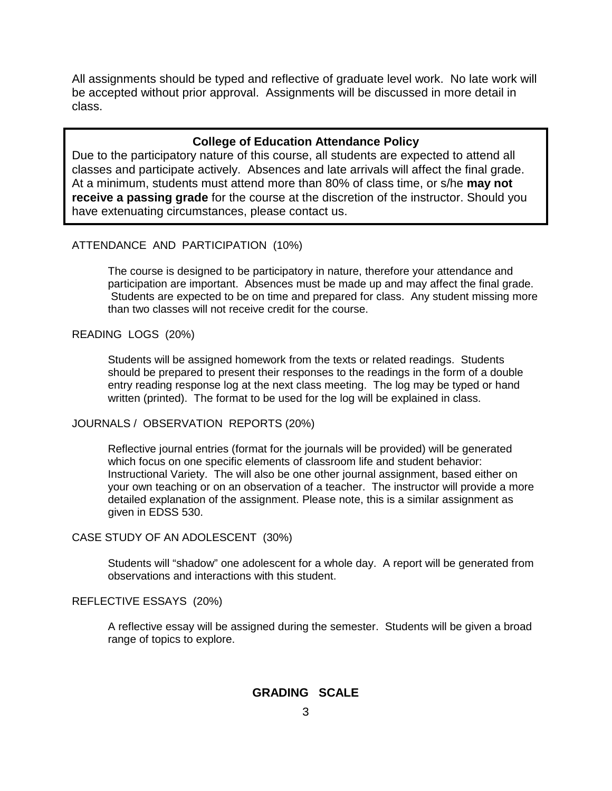All assignments should be typed and reflective of graduate level work. No late work will be accepted without prior approval. Assignments will be discussed in more detail in class.

#### **College of Education Attendance Policy**

Due to the participatory nature of this course, all students are expected to attend all classes and participate actively. Absences and late arrivals will affect the final grade. At a minimum, students must attend more than 80% of class time, or s/he **may not receive a passing grade** for the course at the discretion of the instructor. Should you have extenuating circumstances, please contact us.

#### ATTENDANCE AND PARTICIPATION (10%)

The course is designed to be participatory in nature, therefore your attendance and participation are important. Absences must be made up and may affect the final grade. Students are expected to be on time and prepared for class. Any student missing more than two classes will not receive credit for the course.

#### READING LOGS (20%)

Students will be assigned homework from the texts or related readings. Students should be prepared to present their responses to the readings in the form of a double entry reading response log at the next class meeting. The log may be typed or hand written (printed). The format to be used for the log will be explained in class.

#### JOURNALS / OBSERVATION REPORTS (20%)

Reflective journal entries (format for the journals will be provided) will be generated which focus on one specific elements of classroom life and student behavior: Instructional Variety. The will also be one other journal assignment, based either on your own teaching or on an observation of a teacher. The instructor will provide a more detailed explanation of the assignment. Please note, this is a similar assignment as given in EDSS 530.

#### CASE STUDY OF AN ADOLESCENT (30%)

Students will "shadow" one adolescent for a whole day. A report will be generated from observations and interactions with this student.

#### REFLECTIVE ESSAYS (20%)

A reflective essay will be assigned during the semester. Students will be given a broad range of topics to explore.

## **GRADING SCALE**